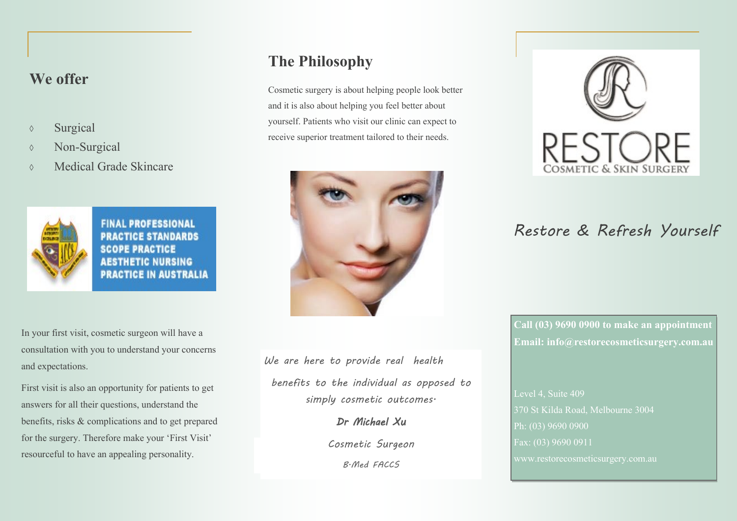#### **We offer**

- Surgical
- **Non-Surgical**
- Medical Grade Skincare



**FINAL PROFESSIONAL PRACTICE STANDARDS SCOPE PRACTICE AESTHETIC NURSING PRACTICE IN AUSTRALIA** 

In your first visit, cosmetic surgeon will have a consultation with you to understand your concerns and expectations.

First visit is also an opportunity for patients to get answers for all their questions, understand the benefits, risks & complications and to get prepared for the surgery. Therefore make your 'First Visit' resourceful to have an appealing personality.

# **The Philosophy**

Cosmetic surgery is about helping people look better and it is also about helping you feel better about yourself. Patients who visit our clinic can expect to receive superior treatment tailored to their needs.



*We are here to provide real health* 

*benefits to the individual as opposed to simply cosmetic outcomes.*

*Dr Michael Xu* 

*Cosmetic Surgeon*

*B.Med FACCS*



# *Restore & Refresh Yourself*

**Call (03) 9690 0900 to make an appointment Email: info@restorecosmeticsurgery.com.au**

Level 4, Suite 409 370 St Kilda Road, Melbourne 3004 Ph: (03) 9690 0900 Fax: (03) 9690 0911 www.restorecosmeticsurgery.com.au